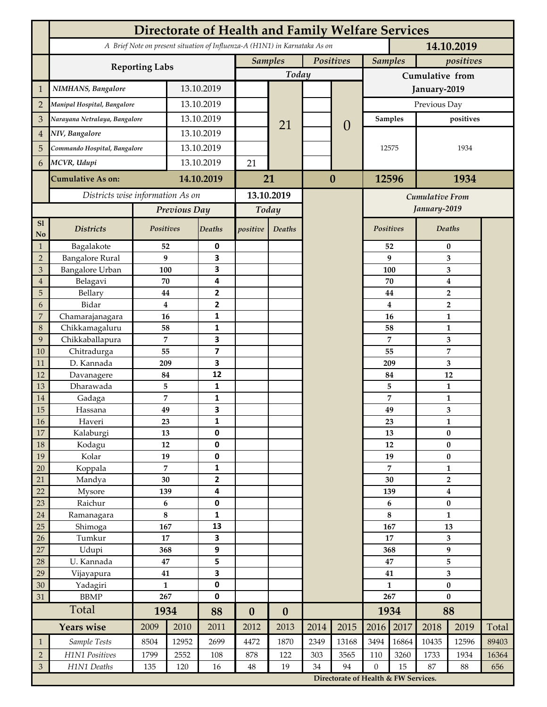|                             | <b>Directorate of Health and Family Welfare Services</b>                                 |                     |            |                                      |                             |                          |          |                        |                     |              |                               |                               |       |  |  |
|-----------------------------|------------------------------------------------------------------------------------------|---------------------|------------|--------------------------------------|-----------------------------|--------------------------|----------|------------------------|---------------------|--------------|-------------------------------|-------------------------------|-------|--|--|
|                             | A Brief Note on present situation of Influenza-A (H1N1) in Karnataka As on<br>14.10.2019 |                     |            |                                      |                             |                          |          |                        |                     |              |                               |                               |       |  |  |
|                             |                                                                                          |                     |            |                                      | Positives<br><b>Samples</b> |                          |          |                        | <b>Samples</b>      |              | positives                     |                               |       |  |  |
|                             | <b>Reporting Labs</b>                                                                    |                     |            |                                      |                             | Today                    |          |                        | Cumulative from     |              |                               |                               |       |  |  |
| $\mathbf{1}$                | NIMHANS, Bangalore                                                                       | 13.10.2019          |            |                                      |                             |                          |          | January-2019           |                     |              |                               |                               |       |  |  |
| $\overline{2}$              | Manipal Hospital, Bangalore                                                              |                     |            | 13.10.2019                           |                             |                          |          |                        | Previous Day        |              |                               |                               |       |  |  |
| 3                           | Narayana Netralaya, Bangalore                                                            |                     |            | 13.10.2019                           |                             |                          |          |                        | <b>Samples</b>      |              | positives                     |                               |       |  |  |
| $\overline{4}$              | NIV, Bangalore                                                                           |                     |            | 13.10.2019                           |                             | 21                       |          | $\theta$               |                     |              |                               |                               |       |  |  |
| 5                           | Commando Hospital, Bangalore                                                             |                     | 13.10.2019 |                                      |                             |                          |          |                        | 12575               |              | 1934                          |                               |       |  |  |
| 6                           | MCVR, Udupi                                                                              |                     | 13.10.2019 |                                      | 21                          |                          |          |                        |                     |              |                               |                               |       |  |  |
|                             |                                                                                          |                     |            |                                      |                             |                          | $\bf{0}$ |                        |                     |              |                               |                               |       |  |  |
|                             | <b>Cumulative As on:</b>                                                                 |                     | 14.10.2019 |                                      | 21                          |                          |          |                        | 12596               |              | 1934                          |                               |       |  |  |
|                             | Districts wise information As on                                                         |                     |            | 13.10.2019                           |                             |                          |          | <b>Cumulative From</b> |                     |              |                               |                               |       |  |  |
|                             |                                                                                          | Previous Day        |            | Today                                |                             |                          |          |                        |                     | January-2019 |                               |                               |       |  |  |
| S1<br>No                    | <b>Districts</b>                                                                         | Positives           |            | Deaths                               | positive                    | Deaths                   |          |                        | <b>Positives</b>    |              |                               | <b>Deaths</b>                 |       |  |  |
| $\mathbf{1}$                | Bagalakote                                                                               | 52                  |            | 0                                    |                             |                          |          |                        |                     | 52           |                               | $\bf{0}$                      |       |  |  |
| $\overline{2}$              | <b>Bangalore Rural</b>                                                                   | 9                   |            | 3                                    |                             |                          |          |                        |                     | 9            | 3                             |                               |       |  |  |
| 3                           | <b>Bangalore Urban</b>                                                                   | 100                 |            | 3                                    |                             |                          |          |                        |                     | 100          | 3                             |                               |       |  |  |
| $\overline{4}$              | Belagavi<br>Bellary                                                                      | 70                  |            | 4<br>$\mathbf{2}$                    |                             |                          |          |                        |                     | 70           | $\boldsymbol{4}$              |                               |       |  |  |
| 5<br>6                      | Bidar                                                                                    | 44<br>$\bf{4}$      |            | 2                                    |                             |                          |          |                        |                     | 44<br>4      | $\mathbf 2$<br>$\overline{2}$ |                               |       |  |  |
| $\overline{7}$              | Chamarajanagara                                                                          | 16                  |            | 1                                    |                             |                          |          |                        |                     | 16           |                               | $\mathbf{1}$                  |       |  |  |
| 8                           | Chikkamagaluru                                                                           | 58                  |            | 1                                    |                             |                          |          |                        |                     | 58           |                               | 1                             |       |  |  |
| 9                           | Chikkaballapura                                                                          | 7                   |            | 3                                    |                             |                          |          |                        |                     | 7            |                               | 3                             |       |  |  |
| 10                          | Chitradurga                                                                              | 55                  |            | $\overline{\mathbf{z}}$              |                             |                          |          |                        |                     | 55           |                               | $\overline{7}$                |       |  |  |
| 11                          | D. Kannada                                                                               | 209                 |            | 3                                    |                             |                          |          |                        |                     | 209          | 3                             |                               |       |  |  |
| 12                          | Davanagere                                                                               | 84                  |            | 12                                   |                             |                          |          |                        |                     | 84           |                               | 12                            |       |  |  |
| 13                          | Dharawada                                                                                | 5<br>$\overline{7}$ |            | 1<br>1                               |                             |                          |          |                        |                     | 5            |                               | 1                             |       |  |  |
| 14<br>15                    | Gadaga<br>Hassana                                                                        | 49                  |            | 3                                    |                             |                          |          |                        |                     | 7<br>49      |                               | $\mathbf{1}$<br>3             |       |  |  |
| 16                          | Haveri                                                                                   | 23                  |            | 1                                    |                             |                          |          |                        |                     | 23           | 1                             |                               |       |  |  |
| 17                          | Kalaburgi                                                                                | 13                  |            | 0                                    |                             |                          |          |                        |                     | 13           | $\pmb{0}$                     |                               |       |  |  |
| 18                          | Kodagu                                                                                   | $12\,$              |            | 0                                    |                             |                          |          |                        |                     | 12           |                               | $\pmb{0}$                     |       |  |  |
| 19                          | Kolar                                                                                    | 19                  |            | 0                                    |                             |                          |          |                        |                     | 19           |                               | $\bf{0}$                      |       |  |  |
| 20                          | Koppala                                                                                  | $\overline{7}$      |            | 1                                    |                             |                          |          |                        | 7                   |              | $\mathbf{1}$                  |                               |       |  |  |
| 21                          | Mandya                                                                                   | 30                  |            | $\overline{\mathbf{2}}$              |                             |                          |          |                        | 30                  |              | $\overline{2}$                |                               |       |  |  |
| 22<br>23                    | Mysore<br>Raichur                                                                        | 139<br>$\bf 6$      |            | 4<br>0                               |                             |                          |          |                        |                     | 139<br>6     |                               | $\boldsymbol{4}$<br>$\pmb{0}$ |       |  |  |
| 24                          | Ramanagara                                                                               | $\bf 8$             |            | 1                                    |                             |                          |          |                        |                     | 8            |                               | $\mathbf{1}$                  |       |  |  |
| 25                          | Shimoga                                                                                  | 167                 |            | 13                                   |                             |                          |          |                        |                     | 167          |                               | 13                            |       |  |  |
| 26                          | Tumkur                                                                                   | 17                  |            | 3                                    |                             |                          |          |                        | 17                  |              | 3                             |                               |       |  |  |
| 27                          | Udupi                                                                                    | 368                 |            | 9                                    |                             |                          |          |                        | 368                 |              | $\boldsymbol{9}$              |                               |       |  |  |
| 28                          | U. Kannada                                                                               | 47                  |            | 5                                    |                             |                          |          |                        | 47                  |              | 5                             |                               |       |  |  |
| 29                          | Vijayapura                                                                               | 41                  |            | 3                                    |                             |                          |          |                        | 41                  |              | 3                             |                               |       |  |  |
| 30<br>31                    | Yadagiri<br><b>BBMP</b>                                                                  | $\mathbf{1}$<br>267 |            | 0<br>0                               |                             |                          |          |                        | $\mathbf{1}$<br>267 |              | $\pmb{0}$<br>$\bf{0}$         |                               |       |  |  |
|                             | Total                                                                                    | 1934                |            |                                      |                             |                          |          |                        | 1934                |              | 88                            |                               |       |  |  |
|                             | <b>Years wise</b>                                                                        | 2009                | 2010       | 88<br>2011                           | $\boldsymbol{0}$<br>2012    | $\boldsymbol{0}$<br>2013 | 2014     | 2015                   | 2016                | 2017         | 2018                          | 2019                          | Total |  |  |
| $\mathbf{1}$                | Sample Tests                                                                             | 8504                | 12952      | 2699                                 | 4472                        | 1870                     | 2349     | 13168                  | 3494                | 16864        | 10435                         | 12596                         | 89403 |  |  |
| $\sqrt{2}$                  | H1N1 Positives                                                                           | 1799                | 2552       | 108                                  | 878                         | 122                      | 303      | 3565                   | 110                 | 3260         | 1733                          | 1934                          | 16364 |  |  |
| $\ensuremath{\mathfrak{Z}}$ | H1N1 Deaths                                                                              | 135                 | 120        | 16                                   | $48\,$                      | 19                       | 34       | 94                     | $\mathbf{0}$        | 15           | 87                            | 88                            | 656   |  |  |
|                             |                                                                                          |                     |            | Directorate of Health & FW Services. |                             |                          |          |                        |                     |              |                               |                               |       |  |  |